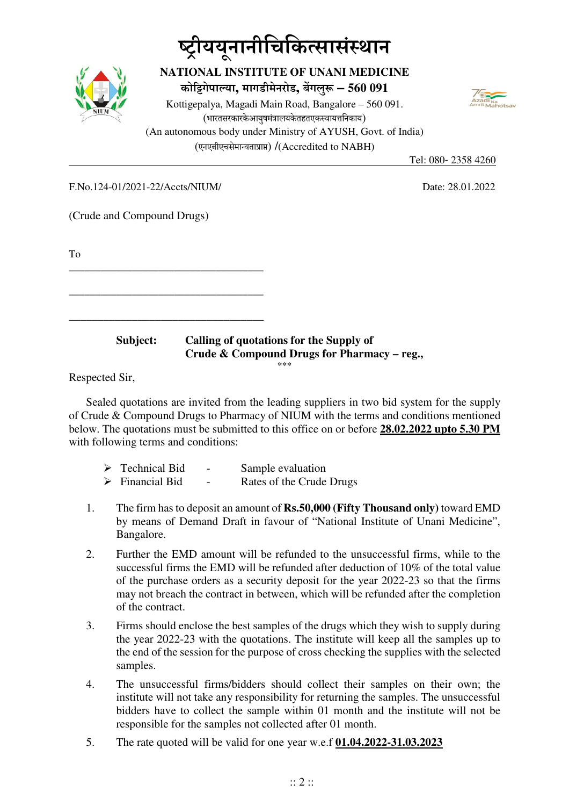# **-ीययू नानीिचिकसासंथान**



### **NATIONAL INSTITUTE OF UNANI MEDICINE कोगेपाया, मागडीमेनरोड, बगलु – 560 091**

Kottigepalya, Magadi Main Road, Bangalore – 560 091. (भारतसरकारकेआयुषमंत्रालयकेतहतएकस्वायत्तनिकाय) (An autonomous body under Ministry of AYUSH, Govt. of India) (एनएबीएचसेमायताा) /(Accredited to NABH)



F.No.124-01/2021-22/Accts/NIUM/ Date: 28.01.2022

Tel: 080- 2358 4260

(Crude and Compound Drugs)

\_\_\_\_\_\_\_\_\_\_\_\_\_\_\_\_\_\_\_\_\_\_\_\_\_\_\_\_\_\_\_\_\_\_\_\_\_

To

|  | ______ |  |
|--|--------|--|

#### **Subject: Calling of quotations for the Supply of Crude & Compound Drugs for Pharmacy – reg.,**  \*\*\*

Respected Sir,

Sealed quotations are invited from the leading suppliers in two bid system for the supply of Crude & Compound Drugs to Pharmacy of NIUM with the terms and conditions mentioned below. The quotations must be submitted to this office on or before **28.02.2022 upto 5.30 PM** with following terms and conditions:

| $\triangleright$ Technical Bid | $\overline{\phantom{a}}$ | Sample evaluation        |
|--------------------------------|--------------------------|--------------------------|
| $\triangleright$ Financial Bid | $\overline{\phantom{0}}$ | Rates of the Crude Drugs |

- 1. The firm has to deposit an amount of **Rs.50,000 (Fifty Thousand only)** toward EMD by means of Demand Draft in favour of "National Institute of Unani Medicine", Bangalore.
- 2. Further the EMD amount will be refunded to the unsuccessful firms, while to the successful firms the EMD will be refunded after deduction of 10% of the total value of the purchase orders as a security deposit for the year 2022-23 so that the firms may not breach the contract in between, which will be refunded after the completion of the contract.
- 3. Firms should enclose the best samples of the drugs which they wish to supply during the year 2022-23 with the quotations. The institute will keep all the samples up to the end of the session for the purpose of cross checking the supplies with the selected samples.
- 4. The unsuccessful firms/bidders should collect their samples on their own; the institute will not take any responsibility for returning the samples. The unsuccessful bidders have to collect the sample within 01 month and the institute will not be responsible for the samples not collected after 01 month.
- 5. The rate quoted will be valid for one year w.e.f **01.04.2022-31.03.2023**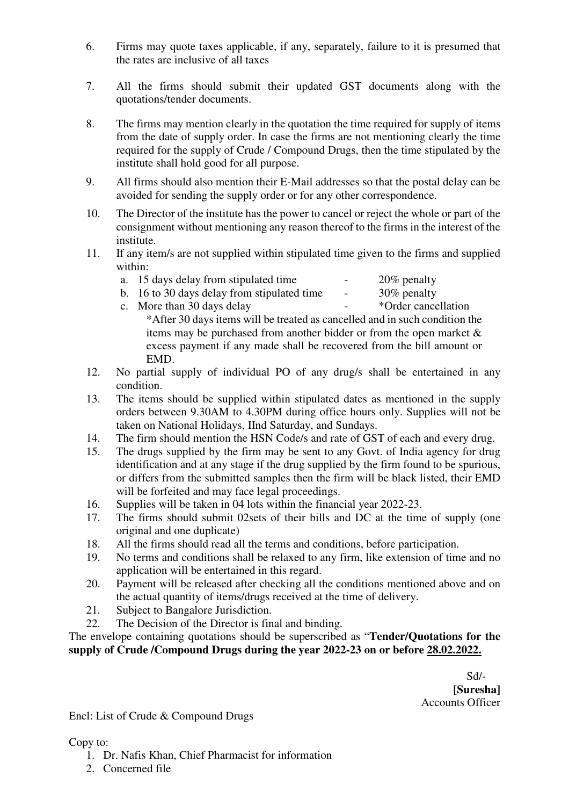- 6. Firms may quote taxes applicable, if any, separately, failure to it is presumed that the rates are inclusive of all taxes
- 7. All the firms should submit their updated GST documents along with the quotations/tender documents.
- 8. The firms may mention clearly in the quotation the time required for supply of items from the date of supply order. In case the firms are not mentioning clearly the time required for the supply of Crude / Compound Drugs, then the time stipulated by the institute shall hold good for all purpose.
- 9. All firms should also mention their E-Mail addresses so that the postal delay can be avoided for sending the supply order or for any other correspondence.
- 10. The Director of the institute has the power to cancel or reject the whole or part of the consignment without mentioning any reason thereof to the firms in the interest of the institute.
- 11. If any item/s are not supplied within stipulated time given to the firms and supplied within:
	- a. 15 days delay from stipulated time  $20\%$  penalty
		-
	- b. 16 to 30 days delay from stipulated time  $\sim$  30% penalty
	- c. More than 30 days delay <br>  $\overline{\phantom{a}}$  \*Order cancellation
		- \*After 30 days items will be treated as cancelled and in such condition the items may be purchased from another bidder or from the open market  $\&$ excess payment if any made shall be recovered from the bill amount or EMD.
- 12. No partial supply of individual PO of any drug/s shall be entertained in any condition.
- 13. The items should be supplied within stipulated dates as mentioned in the supply orders between 9.30AM to 4.30PM during office hours only. Supplies will not be taken on National Holidays, IInd Saturday, and Sundays.
- 14. The firm should mention the HSN Code/s and rate of GST of each and every drug.
- 15. The drugs supplied by the firm may be sent to any Govt. of India agency for drug identification and at any stage if the drug supplied by the firm found to be spurious, or differs from the submitted samples then the firm will be black listed, their EMD will be forfeited and may face legal proceedings.
- 16. Supplies will be taken in 04 lots within the financial year 2022-23.
- 17. The firms should submit 02sets of their bills and DC at the time of supply (one original and one duplicate)
- 18. All the firms should read all the terms and conditions, before participation.
- 19. No terms and conditions shall be relaxed to any firm, like extension of time and no application will be entertained in this regard.
- 20. Payment will be released after checking all the conditions mentioned above and on the actual quantity of items/drugs received at the time of delivery.
- 21. Subject to Bangalore Jurisdiction.
- 22. The Decision of the Director is final and binding.

The envelope containing quotations should be superscribed as "**Tender/Quotations for the supply of Crude /Compound Drugs during the year 2022-23 on or before 28.02.2022.** 

 Sd/-  **[Suresha]**  Accounts Officer

Encl: List of Crude & Compound Drugs

Copy to:

- 1. Dr. Nafis Khan, Chief Pharmacist for information
- 2. Concerned file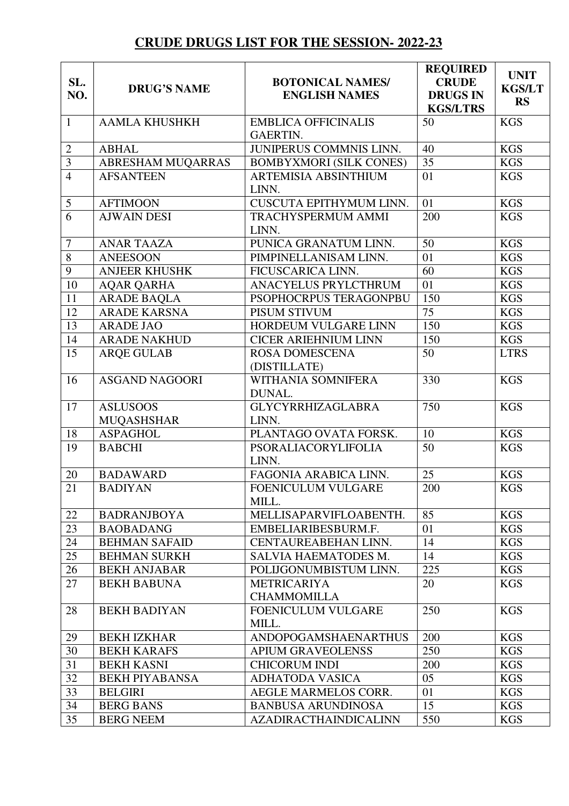## **CRUDE DRUGS LIST FOR THE SESSION- 2022-23**

| <b>KGS</b><br><b>AAMLA KHUSHKH</b><br>50<br>$\mathbf{1}$<br><b>EMBLICA OFFICINALIS</b><br><b>GAERTIN.</b><br>JUNIPERUS COMMNIS LINN.<br>$\mathbf{2}$<br><b>KGS</b><br><b>ABHAL</b><br>40<br>$\overline{3}$<br>35<br>ABRESHAM MUQARRAS<br><b>KGS</b><br><b>BOMBYXMORI (SILK CONES)</b><br>$\overline{4}$<br><b>AFSANTEEN</b><br>01<br><b>KGS</b><br><b>ARTEMISIA ABSINTHIUM</b><br>LINN.<br>CUSCUTA EPITHYMUM LINN.<br>5<br><b>AFTIMOON</b><br>01<br><b>KGS</b><br>$\overline{6}$<br>200<br><b>AJWAIN DESI</b><br><b>KGS</b><br>TRACHYSPERMUM AMMI<br>LINN.<br>50<br>$\overline{7}$<br><b>ANAR TAAZA</b><br>PUNICA GRANATUM LINN.<br><b>KGS</b><br>$\overline{8}$<br>01<br><b>ANEESOON</b><br>PIMPINELLANISAM LINN.<br><b>KGS</b><br>9<br><b>ANJEER KHUSHK</b><br>FICUSCARICA LINN.<br>60<br><b>KGS</b><br>10<br>01<br>ANACYELUS PRYLCTHRUM<br><b>KGS</b><br><b>AQAR QARHA</b><br>11<br><b>ARADE BAQLA</b><br><b>KGS</b><br>PSOPHOCRPUS TERAGONPBU<br>150<br>12<br><b>ARADE KARSNA</b><br>75<br><b>KGS</b><br>PISUM STIVUM<br>$\overline{13}$<br>150<br><b>KGS</b><br><b>ARADE JAO</b><br>HORDEUM VULGARE LINN<br>14<br><b>ARADE NAKHUD</b><br><b>CICER ARIEHNIUM LINN</b><br>150<br><b>KGS</b><br>15<br>50<br><b>ROSA DOMESCENA</b><br><b>LTRS</b><br><b>ARQE GULAB</b><br>(DISTILLATE)<br>WITHANIA SOMNIFERA<br>330<br><b>KGS</b><br>16<br><b>ASGAND NAGOORI</b><br>DUNAL.<br>750<br>17<br><b>KGS</b><br><b>ASLUSOOS</b><br>GLYCYRRHIZAGLABRA<br>LINN.<br><b>MUQASHSHAR</b><br>18<br>PLANTAGO OVATA FORSK.<br>10<br><b>KGS</b><br><b>ASPAGHOL</b><br>19<br>50<br><b>KGS</b><br><b>BABCHI</b><br>PSORALIACORYLIFOLIA<br>LINN.<br>25<br>20<br><b>KGS</b><br><b>BADAWARD</b><br>FAGONIA ARABICA LINN.<br>21<br>200<br>FOENICULUM VULGARE<br><b>KGS</b><br><b>BADIYAN</b><br>MILL.<br>85<br><b>KGS</b><br>22<br><b>BADRANJBOYA</b><br>MELLISAPARVIFLOABENTH.<br>23<br>01<br><b>BAOBADANG</b><br>EMBELIARIBESBURM.F.<br><b>KGS</b><br>24<br><b>KGS</b><br><b>BEHMAN SAFAID</b><br>CENTAUREABEHAN LINN.<br>14<br>25<br><b>KGS</b><br><b>BEHMAN SURKH</b><br>14<br>SALVIA HAEMATODES M.<br>26<br>225<br><b>KGS</b><br>POLIJGONUMBISTUM LINN.<br><b>BEKH ANJABAR</b><br>27<br><b>KGS</b><br><b>BEKH BABUNA</b><br><b>METRICARIYA</b><br>20<br><b>CHAMMOMILLA</b><br>250<br><b>KGS</b><br>28<br><b>BEKH BADIYAN</b><br>FOENICULUM VULGARE<br>MILL.<br>200<br><b>KGS</b><br>29<br><b>BEKH IZKHAR</b><br>ANDOPOGAMSHAENARTHUS<br>250<br>30<br><b>KGS</b><br><b>BEKH KARAFS</b><br><b>APIUM GRAVEOLENSS</b><br>31<br><b>BEKH KASNI</b><br><b>CHICORUM INDI</b><br>200<br><b>KGS</b><br>32<br>05<br><b>KGS</b><br><b>BEKH PIYABANSA</b><br><b>ADHATODA VASICA</b><br>33<br><b>BELGIRI</b><br>01<br><b>KGS</b><br>AEGLE MARMELOS CORR.<br>34<br><b>BERG BANS</b><br><b>BANBUSA ARUNDINOSA</b><br>15<br><b>KGS</b><br>35<br><b>AZADIRACTHAINDICALINN</b><br>550<br><b>KGS</b><br><b>BERG NEEM</b> | SL.<br>NO. | <b>DRUG'S NAME</b> | <b>BOTONICAL NAMES/</b><br><b>ENGLISH NAMES</b> | <b>REQUIRED</b><br><b>CRUDE</b><br><b>DRUGS IN</b><br><b>KGS/LTRS</b> | <b>UNIT</b><br><b>KGS/LT</b><br><b>RS</b> |
|-------------------------------------------------------------------------------------------------------------------------------------------------------------------------------------------------------------------------------------------------------------------------------------------------------------------------------------------------------------------------------------------------------------------------------------------------------------------------------------------------------------------------------------------------------------------------------------------------------------------------------------------------------------------------------------------------------------------------------------------------------------------------------------------------------------------------------------------------------------------------------------------------------------------------------------------------------------------------------------------------------------------------------------------------------------------------------------------------------------------------------------------------------------------------------------------------------------------------------------------------------------------------------------------------------------------------------------------------------------------------------------------------------------------------------------------------------------------------------------------------------------------------------------------------------------------------------------------------------------------------------------------------------------------------------------------------------------------------------------------------------------------------------------------------------------------------------------------------------------------------------------------------------------------------------------------------------------------------------------------------------------------------------------------------------------------------------------------------------------------------------------------------------------------------------------------------------------------------------------------------------------------------------------------------------------------------------------------------------------------------------------------------------------------------------------------------------------------------------------------------------------------------------------------------------------------------------------------------------------------------------------------------------------------------------------------------------------------------------------------------------------------------------------------------------------------------------------------------------------------------------------|------------|--------------------|-------------------------------------------------|-----------------------------------------------------------------------|-------------------------------------------|
|                                                                                                                                                                                                                                                                                                                                                                                                                                                                                                                                                                                                                                                                                                                                                                                                                                                                                                                                                                                                                                                                                                                                                                                                                                                                                                                                                                                                                                                                                                                                                                                                                                                                                                                                                                                                                                                                                                                                                                                                                                                                                                                                                                                                                                                                                                                                                                                                                                                                                                                                                                                                                                                                                                                                                                                                                                                                                     |            |                    |                                                 |                                                                       |                                           |
|                                                                                                                                                                                                                                                                                                                                                                                                                                                                                                                                                                                                                                                                                                                                                                                                                                                                                                                                                                                                                                                                                                                                                                                                                                                                                                                                                                                                                                                                                                                                                                                                                                                                                                                                                                                                                                                                                                                                                                                                                                                                                                                                                                                                                                                                                                                                                                                                                                                                                                                                                                                                                                                                                                                                                                                                                                                                                     |            |                    |                                                 |                                                                       |                                           |
|                                                                                                                                                                                                                                                                                                                                                                                                                                                                                                                                                                                                                                                                                                                                                                                                                                                                                                                                                                                                                                                                                                                                                                                                                                                                                                                                                                                                                                                                                                                                                                                                                                                                                                                                                                                                                                                                                                                                                                                                                                                                                                                                                                                                                                                                                                                                                                                                                                                                                                                                                                                                                                                                                                                                                                                                                                                                                     |            |                    |                                                 |                                                                       |                                           |
|                                                                                                                                                                                                                                                                                                                                                                                                                                                                                                                                                                                                                                                                                                                                                                                                                                                                                                                                                                                                                                                                                                                                                                                                                                                                                                                                                                                                                                                                                                                                                                                                                                                                                                                                                                                                                                                                                                                                                                                                                                                                                                                                                                                                                                                                                                                                                                                                                                                                                                                                                                                                                                                                                                                                                                                                                                                                                     |            |                    |                                                 |                                                                       |                                           |
|                                                                                                                                                                                                                                                                                                                                                                                                                                                                                                                                                                                                                                                                                                                                                                                                                                                                                                                                                                                                                                                                                                                                                                                                                                                                                                                                                                                                                                                                                                                                                                                                                                                                                                                                                                                                                                                                                                                                                                                                                                                                                                                                                                                                                                                                                                                                                                                                                                                                                                                                                                                                                                                                                                                                                                                                                                                                                     |            |                    |                                                 |                                                                       |                                           |
|                                                                                                                                                                                                                                                                                                                                                                                                                                                                                                                                                                                                                                                                                                                                                                                                                                                                                                                                                                                                                                                                                                                                                                                                                                                                                                                                                                                                                                                                                                                                                                                                                                                                                                                                                                                                                                                                                                                                                                                                                                                                                                                                                                                                                                                                                                                                                                                                                                                                                                                                                                                                                                                                                                                                                                                                                                                                                     |            |                    |                                                 |                                                                       |                                           |
|                                                                                                                                                                                                                                                                                                                                                                                                                                                                                                                                                                                                                                                                                                                                                                                                                                                                                                                                                                                                                                                                                                                                                                                                                                                                                                                                                                                                                                                                                                                                                                                                                                                                                                                                                                                                                                                                                                                                                                                                                                                                                                                                                                                                                                                                                                                                                                                                                                                                                                                                                                                                                                                                                                                                                                                                                                                                                     |            |                    |                                                 |                                                                       |                                           |
|                                                                                                                                                                                                                                                                                                                                                                                                                                                                                                                                                                                                                                                                                                                                                                                                                                                                                                                                                                                                                                                                                                                                                                                                                                                                                                                                                                                                                                                                                                                                                                                                                                                                                                                                                                                                                                                                                                                                                                                                                                                                                                                                                                                                                                                                                                                                                                                                                                                                                                                                                                                                                                                                                                                                                                                                                                                                                     |            |                    |                                                 |                                                                       |                                           |
|                                                                                                                                                                                                                                                                                                                                                                                                                                                                                                                                                                                                                                                                                                                                                                                                                                                                                                                                                                                                                                                                                                                                                                                                                                                                                                                                                                                                                                                                                                                                                                                                                                                                                                                                                                                                                                                                                                                                                                                                                                                                                                                                                                                                                                                                                                                                                                                                                                                                                                                                                                                                                                                                                                                                                                                                                                                                                     |            |                    |                                                 |                                                                       |                                           |
|                                                                                                                                                                                                                                                                                                                                                                                                                                                                                                                                                                                                                                                                                                                                                                                                                                                                                                                                                                                                                                                                                                                                                                                                                                                                                                                                                                                                                                                                                                                                                                                                                                                                                                                                                                                                                                                                                                                                                                                                                                                                                                                                                                                                                                                                                                                                                                                                                                                                                                                                                                                                                                                                                                                                                                                                                                                                                     |            |                    |                                                 |                                                                       |                                           |
|                                                                                                                                                                                                                                                                                                                                                                                                                                                                                                                                                                                                                                                                                                                                                                                                                                                                                                                                                                                                                                                                                                                                                                                                                                                                                                                                                                                                                                                                                                                                                                                                                                                                                                                                                                                                                                                                                                                                                                                                                                                                                                                                                                                                                                                                                                                                                                                                                                                                                                                                                                                                                                                                                                                                                                                                                                                                                     |            |                    |                                                 |                                                                       |                                           |
|                                                                                                                                                                                                                                                                                                                                                                                                                                                                                                                                                                                                                                                                                                                                                                                                                                                                                                                                                                                                                                                                                                                                                                                                                                                                                                                                                                                                                                                                                                                                                                                                                                                                                                                                                                                                                                                                                                                                                                                                                                                                                                                                                                                                                                                                                                                                                                                                                                                                                                                                                                                                                                                                                                                                                                                                                                                                                     |            |                    |                                                 |                                                                       |                                           |
|                                                                                                                                                                                                                                                                                                                                                                                                                                                                                                                                                                                                                                                                                                                                                                                                                                                                                                                                                                                                                                                                                                                                                                                                                                                                                                                                                                                                                                                                                                                                                                                                                                                                                                                                                                                                                                                                                                                                                                                                                                                                                                                                                                                                                                                                                                                                                                                                                                                                                                                                                                                                                                                                                                                                                                                                                                                                                     |            |                    |                                                 |                                                                       |                                           |
|                                                                                                                                                                                                                                                                                                                                                                                                                                                                                                                                                                                                                                                                                                                                                                                                                                                                                                                                                                                                                                                                                                                                                                                                                                                                                                                                                                                                                                                                                                                                                                                                                                                                                                                                                                                                                                                                                                                                                                                                                                                                                                                                                                                                                                                                                                                                                                                                                                                                                                                                                                                                                                                                                                                                                                                                                                                                                     |            |                    |                                                 |                                                                       |                                           |
|                                                                                                                                                                                                                                                                                                                                                                                                                                                                                                                                                                                                                                                                                                                                                                                                                                                                                                                                                                                                                                                                                                                                                                                                                                                                                                                                                                                                                                                                                                                                                                                                                                                                                                                                                                                                                                                                                                                                                                                                                                                                                                                                                                                                                                                                                                                                                                                                                                                                                                                                                                                                                                                                                                                                                                                                                                                                                     |            |                    |                                                 |                                                                       |                                           |
|                                                                                                                                                                                                                                                                                                                                                                                                                                                                                                                                                                                                                                                                                                                                                                                                                                                                                                                                                                                                                                                                                                                                                                                                                                                                                                                                                                                                                                                                                                                                                                                                                                                                                                                                                                                                                                                                                                                                                                                                                                                                                                                                                                                                                                                                                                                                                                                                                                                                                                                                                                                                                                                                                                                                                                                                                                                                                     |            |                    |                                                 |                                                                       |                                           |
|                                                                                                                                                                                                                                                                                                                                                                                                                                                                                                                                                                                                                                                                                                                                                                                                                                                                                                                                                                                                                                                                                                                                                                                                                                                                                                                                                                                                                                                                                                                                                                                                                                                                                                                                                                                                                                                                                                                                                                                                                                                                                                                                                                                                                                                                                                                                                                                                                                                                                                                                                                                                                                                                                                                                                                                                                                                                                     |            |                    |                                                 |                                                                       |                                           |
|                                                                                                                                                                                                                                                                                                                                                                                                                                                                                                                                                                                                                                                                                                                                                                                                                                                                                                                                                                                                                                                                                                                                                                                                                                                                                                                                                                                                                                                                                                                                                                                                                                                                                                                                                                                                                                                                                                                                                                                                                                                                                                                                                                                                                                                                                                                                                                                                                                                                                                                                                                                                                                                                                                                                                                                                                                                                                     |            |                    |                                                 |                                                                       |                                           |
|                                                                                                                                                                                                                                                                                                                                                                                                                                                                                                                                                                                                                                                                                                                                                                                                                                                                                                                                                                                                                                                                                                                                                                                                                                                                                                                                                                                                                                                                                                                                                                                                                                                                                                                                                                                                                                                                                                                                                                                                                                                                                                                                                                                                                                                                                                                                                                                                                                                                                                                                                                                                                                                                                                                                                                                                                                                                                     |            |                    |                                                 |                                                                       |                                           |
|                                                                                                                                                                                                                                                                                                                                                                                                                                                                                                                                                                                                                                                                                                                                                                                                                                                                                                                                                                                                                                                                                                                                                                                                                                                                                                                                                                                                                                                                                                                                                                                                                                                                                                                                                                                                                                                                                                                                                                                                                                                                                                                                                                                                                                                                                                                                                                                                                                                                                                                                                                                                                                                                                                                                                                                                                                                                                     |            |                    |                                                 |                                                                       |                                           |
|                                                                                                                                                                                                                                                                                                                                                                                                                                                                                                                                                                                                                                                                                                                                                                                                                                                                                                                                                                                                                                                                                                                                                                                                                                                                                                                                                                                                                                                                                                                                                                                                                                                                                                                                                                                                                                                                                                                                                                                                                                                                                                                                                                                                                                                                                                                                                                                                                                                                                                                                                                                                                                                                                                                                                                                                                                                                                     |            |                    |                                                 |                                                                       |                                           |
|                                                                                                                                                                                                                                                                                                                                                                                                                                                                                                                                                                                                                                                                                                                                                                                                                                                                                                                                                                                                                                                                                                                                                                                                                                                                                                                                                                                                                                                                                                                                                                                                                                                                                                                                                                                                                                                                                                                                                                                                                                                                                                                                                                                                                                                                                                                                                                                                                                                                                                                                                                                                                                                                                                                                                                                                                                                                                     |            |                    |                                                 |                                                                       |                                           |
|                                                                                                                                                                                                                                                                                                                                                                                                                                                                                                                                                                                                                                                                                                                                                                                                                                                                                                                                                                                                                                                                                                                                                                                                                                                                                                                                                                                                                                                                                                                                                                                                                                                                                                                                                                                                                                                                                                                                                                                                                                                                                                                                                                                                                                                                                                                                                                                                                                                                                                                                                                                                                                                                                                                                                                                                                                                                                     |            |                    |                                                 |                                                                       |                                           |
|                                                                                                                                                                                                                                                                                                                                                                                                                                                                                                                                                                                                                                                                                                                                                                                                                                                                                                                                                                                                                                                                                                                                                                                                                                                                                                                                                                                                                                                                                                                                                                                                                                                                                                                                                                                                                                                                                                                                                                                                                                                                                                                                                                                                                                                                                                                                                                                                                                                                                                                                                                                                                                                                                                                                                                                                                                                                                     |            |                    |                                                 |                                                                       |                                           |
|                                                                                                                                                                                                                                                                                                                                                                                                                                                                                                                                                                                                                                                                                                                                                                                                                                                                                                                                                                                                                                                                                                                                                                                                                                                                                                                                                                                                                                                                                                                                                                                                                                                                                                                                                                                                                                                                                                                                                                                                                                                                                                                                                                                                                                                                                                                                                                                                                                                                                                                                                                                                                                                                                                                                                                                                                                                                                     |            |                    |                                                 |                                                                       |                                           |
|                                                                                                                                                                                                                                                                                                                                                                                                                                                                                                                                                                                                                                                                                                                                                                                                                                                                                                                                                                                                                                                                                                                                                                                                                                                                                                                                                                                                                                                                                                                                                                                                                                                                                                                                                                                                                                                                                                                                                                                                                                                                                                                                                                                                                                                                                                                                                                                                                                                                                                                                                                                                                                                                                                                                                                                                                                                                                     |            |                    |                                                 |                                                                       |                                           |
|                                                                                                                                                                                                                                                                                                                                                                                                                                                                                                                                                                                                                                                                                                                                                                                                                                                                                                                                                                                                                                                                                                                                                                                                                                                                                                                                                                                                                                                                                                                                                                                                                                                                                                                                                                                                                                                                                                                                                                                                                                                                                                                                                                                                                                                                                                                                                                                                                                                                                                                                                                                                                                                                                                                                                                                                                                                                                     |            |                    |                                                 |                                                                       |                                           |
|                                                                                                                                                                                                                                                                                                                                                                                                                                                                                                                                                                                                                                                                                                                                                                                                                                                                                                                                                                                                                                                                                                                                                                                                                                                                                                                                                                                                                                                                                                                                                                                                                                                                                                                                                                                                                                                                                                                                                                                                                                                                                                                                                                                                                                                                                                                                                                                                                                                                                                                                                                                                                                                                                                                                                                                                                                                                                     |            |                    |                                                 |                                                                       |                                           |
|                                                                                                                                                                                                                                                                                                                                                                                                                                                                                                                                                                                                                                                                                                                                                                                                                                                                                                                                                                                                                                                                                                                                                                                                                                                                                                                                                                                                                                                                                                                                                                                                                                                                                                                                                                                                                                                                                                                                                                                                                                                                                                                                                                                                                                                                                                                                                                                                                                                                                                                                                                                                                                                                                                                                                                                                                                                                                     |            |                    |                                                 |                                                                       |                                           |
|                                                                                                                                                                                                                                                                                                                                                                                                                                                                                                                                                                                                                                                                                                                                                                                                                                                                                                                                                                                                                                                                                                                                                                                                                                                                                                                                                                                                                                                                                                                                                                                                                                                                                                                                                                                                                                                                                                                                                                                                                                                                                                                                                                                                                                                                                                                                                                                                                                                                                                                                                                                                                                                                                                                                                                                                                                                                                     |            |                    |                                                 |                                                                       |                                           |
|                                                                                                                                                                                                                                                                                                                                                                                                                                                                                                                                                                                                                                                                                                                                                                                                                                                                                                                                                                                                                                                                                                                                                                                                                                                                                                                                                                                                                                                                                                                                                                                                                                                                                                                                                                                                                                                                                                                                                                                                                                                                                                                                                                                                                                                                                                                                                                                                                                                                                                                                                                                                                                                                                                                                                                                                                                                                                     |            |                    |                                                 |                                                                       |                                           |
|                                                                                                                                                                                                                                                                                                                                                                                                                                                                                                                                                                                                                                                                                                                                                                                                                                                                                                                                                                                                                                                                                                                                                                                                                                                                                                                                                                                                                                                                                                                                                                                                                                                                                                                                                                                                                                                                                                                                                                                                                                                                                                                                                                                                                                                                                                                                                                                                                                                                                                                                                                                                                                                                                                                                                                                                                                                                                     |            |                    |                                                 |                                                                       |                                           |
|                                                                                                                                                                                                                                                                                                                                                                                                                                                                                                                                                                                                                                                                                                                                                                                                                                                                                                                                                                                                                                                                                                                                                                                                                                                                                                                                                                                                                                                                                                                                                                                                                                                                                                                                                                                                                                                                                                                                                                                                                                                                                                                                                                                                                                                                                                                                                                                                                                                                                                                                                                                                                                                                                                                                                                                                                                                                                     |            |                    |                                                 |                                                                       |                                           |
|                                                                                                                                                                                                                                                                                                                                                                                                                                                                                                                                                                                                                                                                                                                                                                                                                                                                                                                                                                                                                                                                                                                                                                                                                                                                                                                                                                                                                                                                                                                                                                                                                                                                                                                                                                                                                                                                                                                                                                                                                                                                                                                                                                                                                                                                                                                                                                                                                                                                                                                                                                                                                                                                                                                                                                                                                                                                                     |            |                    |                                                 |                                                                       |                                           |
|                                                                                                                                                                                                                                                                                                                                                                                                                                                                                                                                                                                                                                                                                                                                                                                                                                                                                                                                                                                                                                                                                                                                                                                                                                                                                                                                                                                                                                                                                                                                                                                                                                                                                                                                                                                                                                                                                                                                                                                                                                                                                                                                                                                                                                                                                                                                                                                                                                                                                                                                                                                                                                                                                                                                                                                                                                                                                     |            |                    |                                                 |                                                                       |                                           |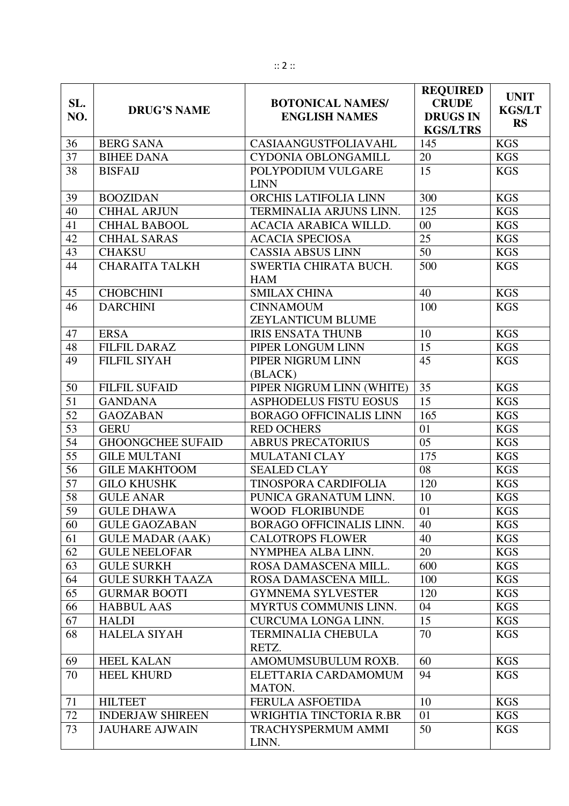| SL.<br>NO.      | <b>DRUG'S NAME</b>       | <b>BOTONICAL NAMES/</b><br><b>ENGLISH NAMES</b> | <b>REQUIRED</b><br><b>CRUDE</b><br><b>DRUGS IN</b><br><b>KGS/LTRS</b> | <b>UNIT</b><br><b>KGS/LT</b><br><b>RS</b> |
|-----------------|--------------------------|-------------------------------------------------|-----------------------------------------------------------------------|-------------------------------------------|
| 36              | <b>BERG SANA</b>         | CASIAANGUSTFOLIAVAHL                            | 145                                                                   | <b>KGS</b>                                |
| 37              | <b>BIHEE DANA</b>        | CYDONIA OBLONGAMILL                             | 20                                                                    | <b>KGS</b>                                |
| 38              | <b>BISFAIJ</b>           | POLYPODIUM VULGARE<br><b>LINN</b>               | 15                                                                    | <b>KGS</b>                                |
| 39              | <b>BOOZIDAN</b>          | ORCHIS LATIFOLIA LINN                           | 300                                                                   | <b>KGS</b>                                |
| 40              | <b>CHHAL ARJUN</b>       | TERMINALIA ARJUNS LINN.                         | 125                                                                   | <b>KGS</b>                                |
| 41              | <b>CHHAL BABOOL</b>      | ACACIA ARABICA WILLD.                           | 00                                                                    | <b>KGS</b>                                |
| 42              | <b>CHHAL SARAS</b>       | <b>ACACIA SPECIOSA</b>                          | 25                                                                    | <b>KGS</b>                                |
| 43              | <b>CHAKSU</b>            | <b>CASSIA ABSUS LINN</b>                        | 50                                                                    | <b>KGS</b>                                |
| 44              | <b>CHARAITA TALKH</b>    | SWERTIA CHIRATA BUCH.<br><b>HAM</b>             | 500                                                                   | <b>KGS</b>                                |
| 45              | <b>CHOBCHINI</b>         | <b>SMILAX CHINA</b>                             | 40                                                                    | <b>KGS</b>                                |
| 46              | <b>DARCHINI</b>          | <b>CINNAMOUM</b><br><b>ZEYLANTICUM BLUME</b>    | 100                                                                   | <b>KGS</b>                                |
| 47              | <b>ERSA</b>              | <b>IRIS ENSATA THUNB</b>                        | 10                                                                    | <b>KGS</b>                                |
| 48              | <b>FILFIL DARAZ</b>      | PIPER LONGUM LINN                               | 15                                                                    | <b>KGS</b>                                |
| 49              | <b>FILFIL SIYAH</b>      | PIPER NIGRUM LINN<br>(BLACK)                    | 45                                                                    | <b>KGS</b>                                |
| 50              | <b>FILFIL SUFAID</b>     | PIPER NIGRUM LINN (WHITE)                       | 35                                                                    | <b>KGS</b>                                |
| 51              | <b>GANDANA</b>           | <b>ASPHODELUS FISTU EOSUS</b>                   | 15                                                                    | <b>KGS</b>                                |
| 52              | <b>GAOZABAN</b>          | <b>BORAGO OFFICINALIS LINN</b>                  | 165                                                                   | <b>KGS</b>                                |
| 53              | <b>GERU</b>              | <b>RED OCHERS</b>                               | 01                                                                    | <b>KGS</b>                                |
| $\overline{54}$ | <b>GHOONGCHEE SUFAID</b> | <b>ABRUS PRECATORIUS</b>                        | 05                                                                    | <b>KGS</b>                                |
| 55              | <b>GILE MULTANI</b>      | <b>MULATANI CLAY</b>                            | 175                                                                   | <b>KGS</b>                                |
| 56              | <b>GILE MAKHTOOM</b>     | <b>SEALED CLAY</b>                              | 08                                                                    | <b>KGS</b>                                |
| 57              | <b>GILO KHUSHK</b>       | TINOSPORA CARDIFOLIA                            | 120                                                                   | <b>KGS</b>                                |
| 58              | <b>GULE ANAR</b>         | PUNICA GRANATUM LINN.                           | 10                                                                    | <b>KGS</b>                                |
| 59              | <b>GULE DHAWA</b>        | WOOD FLORIBUNDE                                 | 01                                                                    | <b>KGS</b>                                |
| 60              | <b>GULE GAOZABAN</b>     | BORAGO OFFICINALIS LINN.                        | 40                                                                    | <b>KGS</b>                                |
| 61              | <b>GULE MADAR (AAK)</b>  | <b>CALOTROPS FLOWER</b>                         | 40                                                                    | <b>KGS</b>                                |
| 62              | <b>GULE NEELOFAR</b>     | NYMPHEA ALBA LINN.                              | 20                                                                    | <b>KGS</b>                                |
| 63              | <b>GULE SURKH</b>        | ROSA DAMASCENA MILL.                            | 600                                                                   | <b>KGS</b>                                |
| 64              | <b>GULE SURKH TAAZA</b>  | ROSA DAMASCENA MILL.                            | 100                                                                   | <b>KGS</b>                                |
| 65              | <b>GURMAR BOOTI</b>      | <b>GYMNEMA SYLVESTER</b>                        | 120                                                                   | <b>KGS</b>                                |
| 66              | <b>HABBUL AAS</b>        | <b>MYRTUS COMMUNIS LINN.</b>                    | 04                                                                    | <b>KGS</b>                                |
| 67              | <b>HALDI</b>             | <b>CURCUMA LONGA LINN.</b>                      | 15                                                                    | <b>KGS</b>                                |
| 68              | <b>HALELA SIYAH</b>      | <b>TERMINALIA CHEBULA</b><br>RETZ.              | 70                                                                    | <b>KGS</b>                                |
| 69              | <b>HEEL KALAN</b>        | AMOMUMSUBULUM ROXB.                             | 60                                                                    | <b>KGS</b>                                |
| 70              | <b>HEEL KHURD</b>        | ELETTARIA CARDAMOMUM<br>MATON.                  | 94                                                                    | <b>KGS</b>                                |
| 71              | <b>HILTEET</b>           | <b>FERULA ASFOETIDA</b>                         | 10                                                                    | <b>KGS</b>                                |
| 72              | <b>INDERJAW SHIREEN</b>  | WRIGHTIA TINCTORIA R.BR                         | 01                                                                    | <b>KGS</b>                                |
| 73              | <b>JAUHARE AJWAIN</b>    | <b>TRACHYSPERMUM AMMI</b><br>LINN.              | 50                                                                    | <b>KGS</b>                                |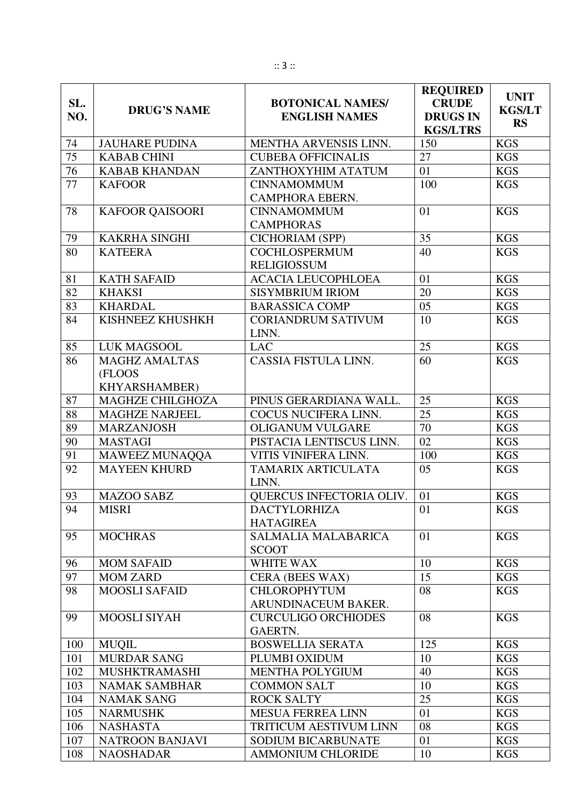| SL.<br>NO.      | <b>DRUG'S NAME</b>     | <b>BOTONICAL NAMES/</b><br><b>ENGLISH NAMES</b> | <b>REQUIRED</b><br><b>CRUDE</b><br><b>DRUGS IN</b><br><b>KGS/LTRS</b> | <b>UNIT</b><br><b>KGS/LT</b><br><b>RS</b> |
|-----------------|------------------------|-------------------------------------------------|-----------------------------------------------------------------------|-------------------------------------------|
| 74              | <b>JAUHARE PUDINA</b>  | MENTHA ARVENSIS LINN.                           | 150                                                                   | <b>KGS</b>                                |
| $\overline{75}$ | <b>KABAB CHINI</b>     | <b>CUBEBA OFFICINALIS</b>                       | 27                                                                    | <b>KGS</b>                                |
| 76              | <b>KABAB KHANDAN</b>   | ZANTHOXYHIM ATATUM                              | 01                                                                    | <b>KGS</b>                                |
| 77              | <b>KAFOOR</b>          | <b>CINNAMOMMUM</b>                              | 100                                                                   | <b>KGS</b>                                |
|                 |                        | CAMPHORA EBERN.                                 |                                                                       |                                           |
| 78              | <b>KAFOOR QAISOORI</b> | <b>CINNAMOMMUM</b><br><b>CAMPHORAS</b>          | 01                                                                    | <b>KGS</b>                                |
| 79              | <b>KAKRHA SINGHI</b>   | <b>CICHORIAM (SPP)</b>                          | 35                                                                    | <b>KGS</b>                                |
| 80              | <b>KATEERA</b>         | <b>COCHLOSPERMUM</b>                            | 40                                                                    | <b>KGS</b>                                |
|                 |                        | <b>RELIGIOSSUM</b>                              |                                                                       |                                           |
| 81              | <b>KATH SAFAID</b>     | <b>ACACIA LEUCOPHLOEA</b>                       | 01                                                                    | <b>KGS</b>                                |
| 82              | <b>KHAKSI</b>          | <b>SISYMBRIUM IRIOM</b>                         | 20                                                                    | <b>KGS</b>                                |
| 83              | <b>KHARDAL</b>         | <b>BARASSICA COMP</b>                           | 05                                                                    | <b>KGS</b>                                |
| 84              | KISHNEEZ KHUSHKH       | <b>CORIANDRUM SATIVUM</b><br>LINN.              | 10                                                                    | <b>KGS</b>                                |
| 85              | LUK MAGSOOL            | <b>LAC</b>                                      | 25                                                                    | <b>KGS</b>                                |
| 86              | <b>MAGHZ AMALTAS</b>   | CASSIA FISTULA LINN.                            | 60                                                                    | <b>KGS</b>                                |
|                 | (FLOOS                 |                                                 |                                                                       |                                           |
|                 | KHYARSHAMBER)          |                                                 |                                                                       |                                           |
| 87              | MAGHZE CHILGHOZA       | PINUS GERARDIANA WALL.                          | 25                                                                    | <b>KGS</b>                                |
| 88              | <b>MAGHZE NARJEEL</b>  | COCUS NUCIFERA LINN.                            | $\overline{25}$                                                       | <b>KGS</b>                                |
| 89              | <b>MARZANJOSH</b>      | <b>OLIGANUM VULGARE</b>                         | 70                                                                    | <b>KGS</b>                                |
| 90              | <b>MASTAGI</b>         | PISTACIA LENTISCUS LINN.                        | 02                                                                    | <b>KGS</b>                                |
| 91              | MAWEEZ MUNAQQA         | VITIS VINIFERA LINN.                            | 100                                                                   | <b>KGS</b>                                |
| 92              | <b>MAYEEN KHURD</b>    | 05<br>TAMARIX ARTICULATA<br>LINN.               |                                                                       | <b>KGS</b>                                |
| 93              | <b>MAZOO SABZ</b>      | QUERCUS INFECTORIA OLIV.                        | 01                                                                    | <b>KGS</b>                                |
| 94              | <b>MISRI</b>           | <b>DACTYLORHIZA</b><br><b>HATAGIREA</b>         | 01                                                                    | <b>KGS</b>                                |
| 95              | <b>MOCHRAS</b>         | <b>SALMALIA MALABARICA</b><br><b>SCOOT</b>      | 01                                                                    | <b>KGS</b>                                |
| 96              | <b>MOM SAFAID</b>      | WHITE WAX                                       | 10                                                                    | <b>KGS</b>                                |
| 97              | <b>MOM ZARD</b>        | <b>CERA (BEES WAX)</b>                          | 15                                                                    | <b>KGS</b>                                |
| 98              | <b>MOOSLI SAFAID</b>   | <b>CHLOROPHYTUM</b>                             | 08                                                                    | <b>KGS</b>                                |
|                 |                        | ARUNDINACEUM BAKER.                             |                                                                       |                                           |
| 99              | MOOSLI SIYAH           | <b>CURCULIGO ORCHIODES</b><br><b>GAERTN.</b>    | 08                                                                    | <b>KGS</b>                                |
| 100             | <b>MUQIL</b>           | <b>BOSWELLIA SERATA</b>                         | 125                                                                   | <b>KGS</b>                                |
| 101             | <b>MURDAR SANG</b>     | PLUMBI OXIDUM                                   | 10                                                                    | <b>KGS</b>                                |
| 102             | <b>MUSHKTRAMASHI</b>   | <b>MENTHA POLYGIUM</b>                          | 40                                                                    | <b>KGS</b>                                |
| 103             | <b>NAMAK SAMBHAR</b>   | <b>COMMON SALT</b>                              | 10                                                                    | <b>KGS</b>                                |
| 104             | <b>NAMAK SANG</b>      | <b>ROCK SALTY</b>                               | 25                                                                    | <b>KGS</b>                                |
| 105             | <b>NARMUSHK</b>        | <b>MESUA FERREA LINN</b>                        | 01                                                                    | <b>KGS</b>                                |
| 106             | <b>NASHASTA</b>        | <b>TRITICUM AESTIVUM LINN</b>                   | 08                                                                    | <b>KGS</b>                                |
| 107             | NATROON BANJAVI        | <b>SODIUM BICARBUNATE</b>                       | 01                                                                    | <b>KGS</b>                                |
| 108             | <b>NAOSHADAR</b>       | <b>AMMONIUM CHLORIDE</b>                        | 10                                                                    | <b>KGS</b>                                |

Ι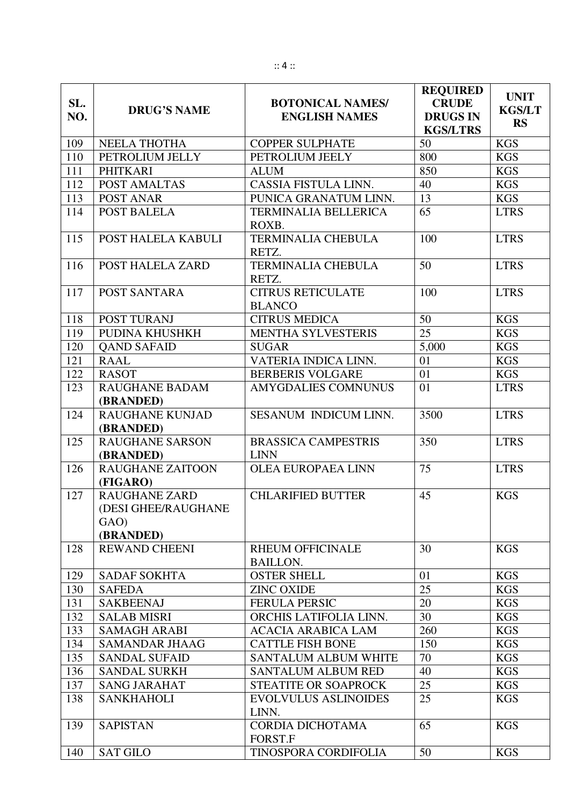| SL.<br>NO. | <b>DRUG'S NAME</b>                                               | <b>BOTONICAL NAMES/</b><br><b>ENGLISH NAMES</b> | <b>REQUIRED</b><br><b>CRUDE</b><br><b>DRUGS IN</b><br><b>KGS/LTRS</b> | <b>UNIT</b><br><b>KGS/LT</b><br><b>RS</b> |
|------------|------------------------------------------------------------------|-------------------------------------------------|-----------------------------------------------------------------------|-------------------------------------------|
| 109        | <b>NEELA THOTHA</b>                                              | <b>COPPER SULPHATE</b>                          | 50                                                                    | <b>KGS</b>                                |
| 110        | PETROLIUM JELLY                                                  | PETROLIUM JEELY                                 | 800                                                                   | <b>KGS</b>                                |
| 111        | <b>PHITKARI</b>                                                  | <b>ALUM</b>                                     | 850                                                                   | <b>KGS</b>                                |
| 112        | POST AMALTAS                                                     | CASSIA FISTULA LINN.                            | 40                                                                    | <b>KGS</b>                                |
| 113        | POST ANAR                                                        | PUNICA GRANATUM LINN.                           | 13                                                                    | <b>KGS</b>                                |
| 114        | POST BALELA                                                      | TERMINALIA BELLERICA<br>ROXB.                   | 65                                                                    | <b>LTRS</b>                               |
| 115        | POST HALELA KABULI                                               | <b>TERMINALIA CHEBULA</b><br>RETZ.              | 100                                                                   | <b>LTRS</b>                               |
| 116        | POST HALELA ZARD                                                 | <b>TERMINALIA CHEBULA</b><br>RETZ.              | 50                                                                    | <b>LTRS</b>                               |
| 117        | POST SANTARA                                                     | <b>CITRUS RETICULATE</b><br><b>BLANCO</b>       | 100                                                                   | <b>LTRS</b>                               |
| 118        | POST TURANJ                                                      | <b>CITRUS MEDICA</b>                            | 50                                                                    | <b>KGS</b>                                |
| 119        | PUDINA KHUSHKH                                                   | <b>MENTHA SYLVESTERIS</b>                       | $\overline{25}$                                                       | <b>KGS</b>                                |
| 120        | <b>QAND SAFAID</b>                                               | <b>SUGAR</b>                                    | 5,000                                                                 | <b>KGS</b>                                |
| 121        | <b>RAAL</b>                                                      | VATERIA INDICA LINN.                            | 01                                                                    | <b>KGS</b>                                |
| 122        | <b>RASOT</b>                                                     | <b>BERBERIS VOLGARE</b>                         | 01                                                                    | <b>KGS</b>                                |
| 123        | <b>RAUGHANE BADAM</b><br>(BRANDED)                               | <b>AMYGDALIES COMNUNUS</b>                      | 01                                                                    | <b>LTRS</b>                               |
| 124        | <b>RAUGHANE KUNJAD</b><br>(BRANDED)                              | SESANUM INDICUM LINN.                           | 3500                                                                  | <b>LTRS</b>                               |
| 125        | <b>RAUGHANE SARSON</b><br>(BRANDED)                              | <b>BRASSICA CAMPESTRIS</b><br><b>LINN</b>       | 350                                                                   | <b>LTRS</b>                               |
| 126        | <b>RAUGHANE ZAITOON</b><br>(FIGARO)                              | <b>OLEA EUROPAEA LINN</b>                       | 75                                                                    | <b>LTRS</b>                               |
| 127        | <b>RAUGHANE ZARD</b><br>(DESI GHEE/RAUGHANE<br>GAO)<br>(BRANDED) | <b>CHLARIFIED BUTTER</b>                        | 45                                                                    | <b>KGS</b>                                |
| 128        | <b>REWAND CHEENI</b>                                             | <b>RHEUM OFFICINALE</b><br><b>BAILLON.</b>      | 30                                                                    | <b>KGS</b>                                |
| 129        | <b>SADAF SOKHTA</b>                                              | <b>OSTER SHELL</b>                              | 01                                                                    | <b>KGS</b>                                |
| 130        | <b>SAFEDA</b>                                                    | <b>ZINC OXIDE</b>                               | 25                                                                    | <b>KGS</b>                                |
| 131        | <b>SAKBEENAJ</b>                                                 | <b>FERULA PERSIC</b>                            | 20                                                                    | <b>KGS</b>                                |
| 132        | <b>SALAB MISRI</b>                                               | ORCHIS LATIFOLIA LINN.                          | 30                                                                    | <b>KGS</b>                                |
| 133        | <b>SAMAGH ARABI</b>                                              | <b>ACACIA ARABICA LAM</b>                       | 260                                                                   | <b>KGS</b>                                |
| 134        | <b>SAMANDAR JHAAG</b>                                            | <b>CATTLE FISH BONE</b>                         | 150                                                                   | <b>KGS</b>                                |
| 135        | <b>SANDAL SUFAID</b>                                             | SANTALUM ALBUM WHITE                            | 70                                                                    | <b>KGS</b>                                |
| 136        | <b>SANDAL SURKH</b>                                              | <b>SANTALUM ALBUM RED</b>                       | 40                                                                    | <b>KGS</b>                                |
| 137        | <b>SANG JARAHAT</b>                                              | <b>STEATITE OR SOAPROCK</b>                     | 25                                                                    | <b>KGS</b>                                |
| 138        | <b>SANKHAHOLI</b>                                                | <b>EVOLVULUS ASLINOIDES</b><br>LINN.            | 25                                                                    | <b>KGS</b>                                |
| 139        | <b>SAPISTAN</b>                                                  | CORDIA DICHOTAMA<br>FORST.F                     | 65                                                                    | <b>KGS</b>                                |
| 140        | <b>SAT GILO</b>                                                  | TINOSPORA CORDIFOLIA                            | 50                                                                    | <b>KGS</b>                                |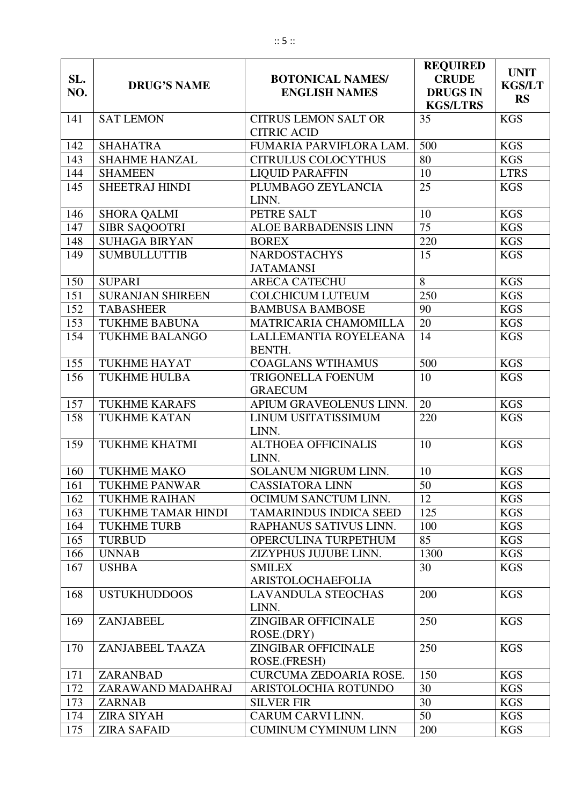| SL. | <b>DRUG'S NAME</b>        | <b>BOTONICAL NAMES/</b>                           | <b>REQUIRED</b><br><b>CRUDE</b>    | <b>UNIT</b><br><b>KGS/LT</b> |
|-----|---------------------------|---------------------------------------------------|------------------------------------|------------------------------|
| NO. |                           | <b>ENGLISH NAMES</b>                              | <b>DRUGS IN</b><br><b>KGS/LTRS</b> | <b>RS</b>                    |
| 141 | <b>SAT LEMON</b>          | <b>CITRUS LEMON SALT OR</b><br><b>CITRIC ACID</b> | 35                                 | <b>KGS</b>                   |
| 142 | <b>SHAHATRA</b>           | FUMARIA PARVIFLORA LAM.                           | 500                                | <b>KGS</b>                   |
| 143 | <b>SHAHME HANZAL</b>      | <b>CITRULUS COLOCYTHUS</b>                        | 80                                 | <b>KGS</b>                   |
| 144 | <b>SHAMEEN</b>            | <b>LIQUID PARAFFIN</b>                            | 10                                 | <b>LTRS</b>                  |
| 145 | <b>SHEETRAJ HINDI</b>     | PLUMBAGO ZEYLANCIA<br>LINN.                       | 25                                 | <b>KGS</b>                   |
| 146 | <b>SHORA QALMI</b>        | PETRE SALT                                        | 10                                 | <b>KGS</b>                   |
| 147 | <b>SIBR SAQOOTRI</b>      | ALOE BARBADENSIS LINN                             | 75                                 | <b>KGS</b>                   |
| 148 | <b>SUHAGA BIRYAN</b>      | <b>BOREX</b>                                      | 220                                | <b>KGS</b>                   |
| 149 | <b>SUMBULLUTTIB</b>       | <b>NARDOSTACHYS</b><br><b>JATAMANSI</b>           | 15                                 | <b>KGS</b>                   |
| 150 | <b>SUPARI</b>             | <b>ARECA CATECHU</b>                              | 8                                  | <b>KGS</b>                   |
| 151 | <b>SURANJAN SHIREEN</b>   | <b>COLCHICUM LUTEUM</b>                           | 250                                | <b>KGS</b>                   |
| 152 | <b>TABASHEER</b>          | <b>BAMBUSA BAMBOSE</b>                            | 90                                 | <b>KGS</b>                   |
| 153 | <b>TUKHME BABUNA</b>      | MATRICARIA CHAMOMILLA                             | 20                                 | <b>KGS</b>                   |
| 154 | <b>TUKHME BALANGO</b>     | LALLEMANTIA ROYELEANA<br>BENTH.                   | 14                                 | <b>KGS</b>                   |
| 155 | <b>TUKHME HAYAT</b>       | <b>COAGLANS WTIHAMUS</b>                          | 500                                | <b>KGS</b>                   |
| 156 | <b>TUKHME HULBA</b>       | <b>TRIGONELLA FOENUM</b><br>10<br><b>GRAECUM</b>  |                                    | <b>KGS</b>                   |
| 157 | <b>TUKHME KARAFS</b>      | APIUM GRAVEOLENUS LINN.                           | 20                                 | <b>KGS</b>                   |
| 158 | <b>TUKHME KATAN</b>       | LINUM USITATISSIMUM<br>220<br>LINN.               |                                    | <b>KGS</b>                   |
| 159 | <b>TUKHME KHATMI</b>      | <b>ALTHOEA OFFICINALIS</b><br>10<br>LINN.         |                                    | <b>KGS</b>                   |
| 160 | <b>TUKHME MAKO</b>        | SOLANUM NIGRUM LINN.<br>10                        |                                    | <b>KGS</b>                   |
| 161 | <b>TUKHME PANWAR</b>      | <b>CASSIATORA LINN</b>                            | 50                                 | <b>KGS</b>                   |
| 162 | <b>TUKHME RAIHAN</b>      | OCIMUM SANCTUM LINN.                              | 12                                 | <b>KGS</b>                   |
| 163 | <b>TUKHME TAMAR HINDI</b> | <b>TAMARINDUS INDICA SEED</b>                     | 125                                | <b>KGS</b>                   |
| 164 | <b>TUKHME TURB</b>        | RAPHANUS SATIVUS LINN.                            | 100                                | <b>KGS</b>                   |
| 165 | <b>TURBUD</b>             | OPERCULINA TURPETHUM                              | 85                                 | <b>KGS</b>                   |
| 166 | <b>UNNAB</b>              | ZIZYPHUS JUJUBE LINN.                             | 1300                               | <b>KGS</b>                   |
| 167 | <b>USHBA</b>              | <b>SMILEX</b><br>ARISTOLOCHAEFOLIA                | 30                                 | <b>KGS</b>                   |
| 168 | <b>USTUKHUDDOOS</b>       | <b>LAVANDULA STEOCHAS</b><br>LINN.                | 200                                | <b>KGS</b>                   |
| 169 | ZANJABEEL                 | <b>ZINGIBAR OFFICINALE</b><br>ROSE.(DRY)          | 250                                | <b>KGS</b>                   |
| 170 | ZANJABEEL TAAZA           | <b>ZINGIBAR OFFICINALE</b><br>ROSE.(FRESH)        | 250                                | <b>KGS</b>                   |
| 171 | ZARANBAD                  | 150<br>CURCUMA ZEDOARIA ROSE.                     |                                    | <b>KGS</b>                   |
| 172 | ZARAWAND MADAHRAJ         | ARISTOLOCHIA ROTUNDO                              | 30                                 | <b>KGS</b>                   |
| 173 | <b>ZARNAB</b>             | 30<br><b>SILVER FIR</b>                           |                                    | <b>KGS</b>                   |
| 174 | <b>ZIRA SIYAH</b>         | 50<br>CARUM CARVI LINN.                           |                                    | <b>KGS</b>                   |
| 175 | <b>ZIRA SAFAID</b>        | <b>CUMINUM CYMINUM LINN</b><br>200<br><b>KGS</b>  |                                    |                              |